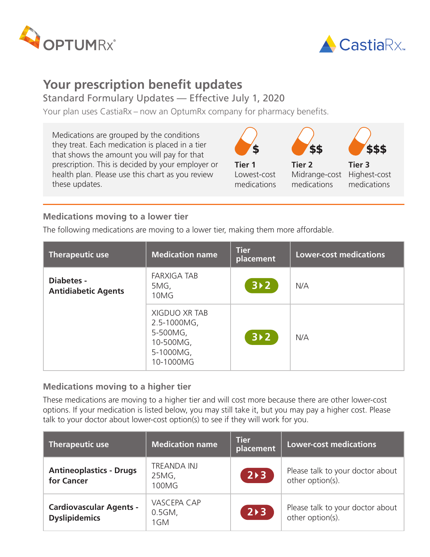



# **Your prescription benefit updates**

## Standard Formulary Updates — Effective July 1, 2020

Your plan uses CastiaRx – now an OptumRx company for pharmacy benefits.

Medications are grouped by the conditions they treat. Each medication is placed in a tier that shows the amount you will pay for that prescription. This is decided by your employer or health plan. Please use this chart as you review these updates.



### **Medications moving to a lower tier**

The following medications are moving to a lower tier, making them more affordable.

| <b>Therapeutic use</b>                   | <b>Medication name</b>                                                                 | <b>Tier</b><br>placement | <b>Lower-cost medications</b> |
|------------------------------------------|----------------------------------------------------------------------------------------|--------------------------|-------------------------------|
| Diabetes -<br><b>Antidiabetic Agents</b> | <b>FARXIGA TAB</b><br>5MG,<br>10MG                                                     | $3 \times 2$             | N/A                           |
|                                          | <b>XIGDUO XR TAB</b><br>2.5-1000MG,<br>5-500MG,<br>10-500MG,<br>5-1000MG,<br>10-1000MG | $3 \times 2$             | N/A                           |

#### **Medications moving to a higher tier**

These medications are moving to a higher tier and will cost more because there are other lower-cost options. If your medication is listed below, you may still take it, but you may pay a higher cost. Please talk to your doctor about lower-cost option(s) to see if they will work for you.

| Therapeutic use                                        | <b>Medication name</b>                 | <b>Tier</b><br>placement | <b>Lower-cost medications</b>                        |
|--------------------------------------------------------|----------------------------------------|--------------------------|------------------------------------------------------|
| <b>Antineoplastics - Drugs</b><br>for Cancer           | <b>TREANDA INJ</b><br>25MG,<br>100MG   | $2 \rightarrow 3$        | Please talk to your doctor about<br>other option(s). |
| <b>Cardiovascular Agents -</b><br><b>Dyslipidemics</b> | <b>VASCEPA CAP</b><br>$0.5GM$ ,<br>1GM | $2 \rightarrow 3$        | Please talk to your doctor about<br>other option(s). |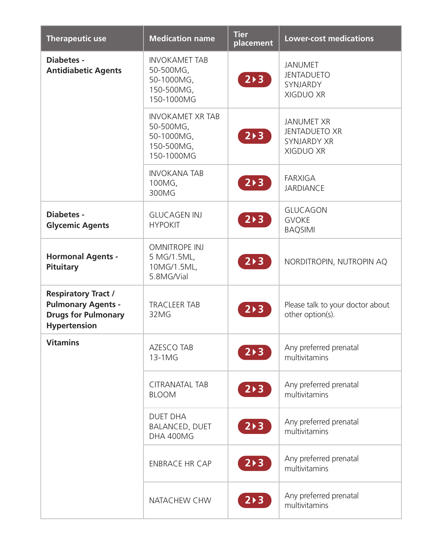| <b>Therapeutic use</b>                                                                                       | <b>Medication name</b>                                                         | <b>Tier</b><br>placement | <b>Lower-cost medications</b>                                                |
|--------------------------------------------------------------------------------------------------------------|--------------------------------------------------------------------------------|--------------------------|------------------------------------------------------------------------------|
| <b>Diabetes -</b><br><b>Antidiabetic Agents</b>                                                              | <b>INVOKAMET TAB</b><br>50-500MG,<br>50-1000MG,<br>150-500MG,<br>150-1000MG    | $2 \times 3$             | <b>JANUMET</b><br><b>JENTADUETO</b><br>SYNJARDY<br><b>XIGDUO XR</b>          |
|                                                                                                              | <b>INVOKAMET XR TAB</b><br>50-500MG,<br>50-1000MG,<br>150-500MG,<br>150-1000MG | $2 \times 3$             | <b>JANUMET XR</b><br><b>JENTADUETO XR</b><br><b>SYNJARDY XR</b><br>XIGDUO XR |
|                                                                                                              | <b>INVOKANA TAB</b><br>100MG,<br>300MG                                         | 2>3                      | <b>FARXIGA</b><br><b>JARDIANCE</b>                                           |
| <b>Diabetes -</b><br><b>Glycemic Agents</b>                                                                  | <b>GLUCAGEN INJ</b><br><b>HYPOKIT</b>                                          | $2 \triangleright 3$     | <b>GLUCAGON</b><br><b>GVOKE</b><br><b>BAQSIMI</b>                            |
| <b>Hormonal Agents -</b><br>Pituitary                                                                        | <b>OMNITROPE INJ</b><br>5 MG/1.5ML,<br>10MG/1.5ML,<br>5.8MG/Vial               | 2>3                      | NORDITROPIN, NUTROPIN AQ                                                     |
| <b>Respiratory Tract /</b><br><b>Pulmonary Agents -</b><br><b>Drugs for Pulmonary</b><br><b>Hypertension</b> | <b>TRACLEER TAB</b><br>32MG                                                    | $2 \triangleright 3$     | Please talk to your doctor about<br>other option(s).                         |
| <b>Vitamins</b>                                                                                              | <b>AZESCO TAB</b><br>13-1MG                                                    | $2 \times 3$             | Any preferred prenatal<br>multivitamins                                      |
|                                                                                                              | <b>CITRANATAL TAB</b><br><b>BLOOM</b>                                          | $2 \times 3$             | Any preferred prenatal<br>multivitamins                                      |
|                                                                                                              | <b>DUET DHA</b><br><b>BALANCED, DUET</b><br>DHA 400MG                          | $2 \triangleright 3$     | Any preferred prenatal<br>multivitamins                                      |
|                                                                                                              | <b>ENBRACE HR CAP</b>                                                          | $2 \triangleright 3$     | Any preferred prenatal<br>multivitamins                                      |
|                                                                                                              | NATACHEW CHW                                                                   | $2 \triangleright 3$     | Any preferred prenatal<br>multivitamins                                      |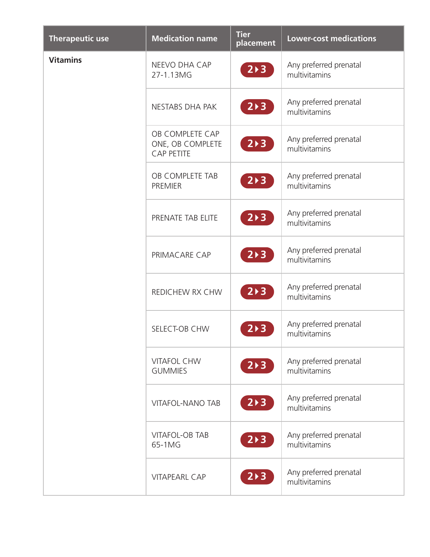| <b>Therapeutic use</b> | <b>Medication name</b>                                   | <b>Tier</b><br>placement | <b>Lower-cost medications</b>           |
|------------------------|----------------------------------------------------------|--------------------------|-----------------------------------------|
| <b>Vitamins</b>        | NEEVO DHA CAP<br>27-1.13MG                               | $2 \triangleright 3$     | Any preferred prenatal<br>multivitamins |
|                        | NESTABS DHA PAK                                          | $2 \times 3$             | Any preferred prenatal<br>multivitamins |
|                        | OB COMPLETE CAP<br>ONE, OB COMPLETE<br><b>CAP PETITE</b> | $2 \triangleright 3$     | Any preferred prenatal<br>multivitamins |
|                        | OB COMPLETE TAB<br><b>PREMIER</b>                        | $2 \triangleright 3$     | Any preferred prenatal<br>multivitamins |
|                        | PRENATE TAB ELITE                                        | $2 \triangleright 3$     | Any preferred prenatal<br>multivitamins |
|                        | PRIMACARE CAP                                            | $2 \triangleright 3$     | Any preferred prenatal<br>multivitamins |
|                        | REDICHEW RX CHW                                          | 2>3                      | Any preferred prenatal<br>multivitamins |
|                        | SELECT-OB CHW                                            | $2 \triangleright 3$     | Any preferred prenatal<br>multivitamins |
|                        | <b>VITAFOL CHW</b><br><b>GUMMIES</b>                     | $2 \triangleright 3$     | Any preferred prenatal<br>multivitamins |
|                        | <b>VITAFOL-NANO TAB</b>                                  | $2 \triangleright 3$     | Any preferred prenatal<br>multivitamins |
|                        | <b>VITAFOL-OB TAB</b><br>65-1MG                          | 2>3                      | Any preferred prenatal<br>multivitamins |
|                        | <b>VITAPEARL CAP</b>                                     | $2 \triangleright 3$     | Any preferred prenatal<br>multivitamins |